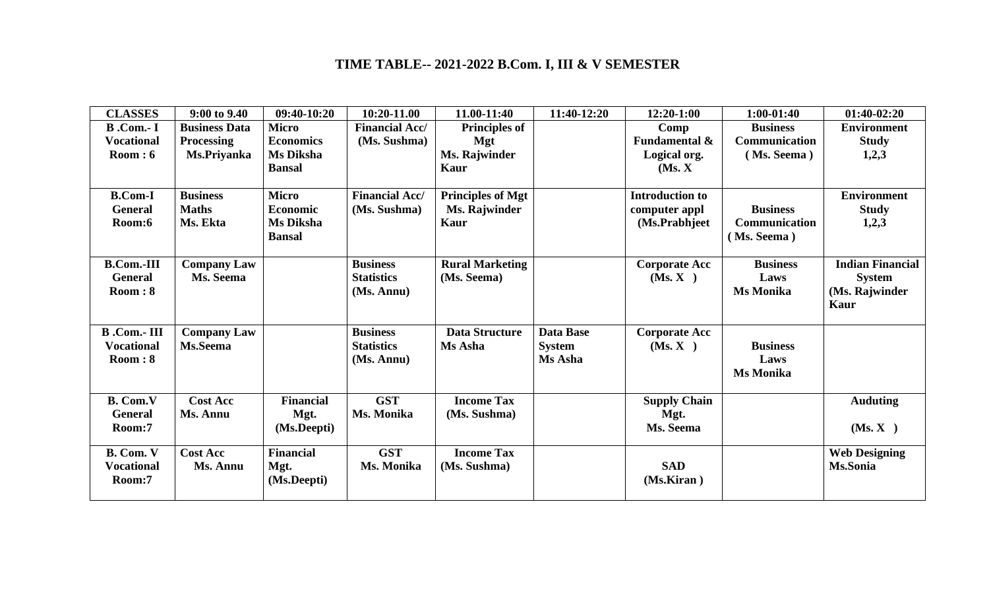## **TIME TABLE-- 2021-2022 B.Com. I, III & V SEMESTER**

| <b>CLASSES</b>     | 9:00 to 9.40         | 09:40-10:20      | 10:20-11.00           | 11.00-11:40              | 11:40-12:20   | 12:20-1:00               | $1:00-01:40$         | $01:40-02:20$           |
|--------------------|----------------------|------------------|-----------------------|--------------------------|---------------|--------------------------|----------------------|-------------------------|
| $B$ .Com.-I        | <b>Business Data</b> | <b>Micro</b>     | <b>Financial Acc/</b> | <b>Principles of</b>     |               | Comp                     | <b>Business</b>      | <b>Environment</b>      |
| <b>Vocational</b>  | <b>Processing</b>    | <b>Economics</b> | (Ms. Sushma)          | Mgt                      |               | <b>Fundamental &amp;</b> | <b>Communication</b> | <b>Study</b>            |
| Room:6             | Ms.Priyanka          | <b>Ms Diksha</b> |                       | Ms. Rajwinder            |               | Logical org.             | (Ms. Seema)          | 1,2,3                   |
|                    |                      | <b>Bansal</b>    |                       | Kaur                     |               | (Ms, X)                  |                      |                         |
|                    |                      |                  |                       |                          |               |                          |                      |                         |
| <b>B.Com-I</b>     | <b>Business</b>      | <b>Micro</b>     | <b>Financial Acc/</b> | <b>Principles of Mgt</b> |               | <b>Introduction to</b>   |                      | <b>Environment</b>      |
| <b>General</b>     | <b>Maths</b>         | <b>Economic</b>  | (Ms. Sushma)          | <b>Ms. Rajwinder</b>     |               | computer appl            | <b>Business</b>      | <b>Study</b>            |
| Room:6             | Ms. Ekta             | Ms Diksha        |                       | Kaur                     |               | (Ms.Prabhjeet)           | <b>Communication</b> | 1,2,3                   |
|                    |                      | <b>Bansal</b>    |                       |                          |               |                          | (Ms. Seema)          |                         |
|                    |                      |                  |                       |                          |               |                          |                      |                         |
| <b>B.Com.-III</b>  | <b>Company Law</b>   |                  | <b>Business</b>       | <b>Rural Marketing</b>   |               | <b>Corporate Acc</b>     | <b>Business</b>      | <b>Indian Financial</b> |
| <b>General</b>     | Ms. Seema            |                  | <b>Statistics</b>     | (Ms. Seema)              |               | (Ms, X)                  | Laws                 | <b>System</b>           |
| Room: 8            |                      |                  | (Ms. Annu)            |                          |               |                          | <b>Ms Monika</b>     | (Ms. Rajwinder          |
|                    |                      |                  |                       |                          |               |                          |                      | Kaur                    |
|                    |                      |                  |                       |                          |               |                          |                      |                         |
| <b>B</b> .Com.-III | <b>Company Law</b>   |                  | <b>Business</b>       | <b>Data Structure</b>    | Data Base     | <b>Corporate Acc</b>     |                      |                         |
| <b>Vocational</b>  | Ms.Seema             |                  | <b>Statistics</b>     | Ms Asha                  | <b>System</b> | (Ms, X)                  | <b>Business</b>      |                         |
| Room:8             |                      |                  | (Ms. Annu)            |                          | Ms Asha       |                          | Laws                 |                         |
|                    |                      |                  |                       |                          |               |                          | <b>Ms Monika</b>     |                         |
|                    |                      |                  |                       |                          |               |                          |                      |                         |
| <b>B.</b> Com.V    | <b>Cost Acc</b>      | <b>Financial</b> | <b>GST</b>            | <b>Income Tax</b>        |               | <b>Supply Chain</b>      |                      | <b>Auduting</b>         |
| <b>General</b>     | Ms. Annu             | Mgt.             | Ms. Monika            | (Ms. Sushma)             |               | Mgt.                     |                      |                         |
| Room:7             |                      | (Ms.Deepti)      |                       |                          |               | Ms. Seema                |                      | (Ms, X)                 |
|                    |                      |                  |                       |                          |               |                          |                      |                         |
| B. Com. V          | <b>Cost Acc</b>      | <b>Financial</b> | <b>GST</b>            | <b>Income Tax</b>        |               |                          |                      | <b>Web Designing</b>    |
| <b>Vocational</b>  | Ms. Annu             | Mgt.             | Ms. Monika            | (Ms. Sushma)             |               | <b>SAD</b>               |                      | Ms.Sonia                |
| Room:7             |                      | (Ms.Deepti)      |                       |                          |               | (Ms.Kiran)               |                      |                         |
|                    |                      |                  |                       |                          |               |                          |                      |                         |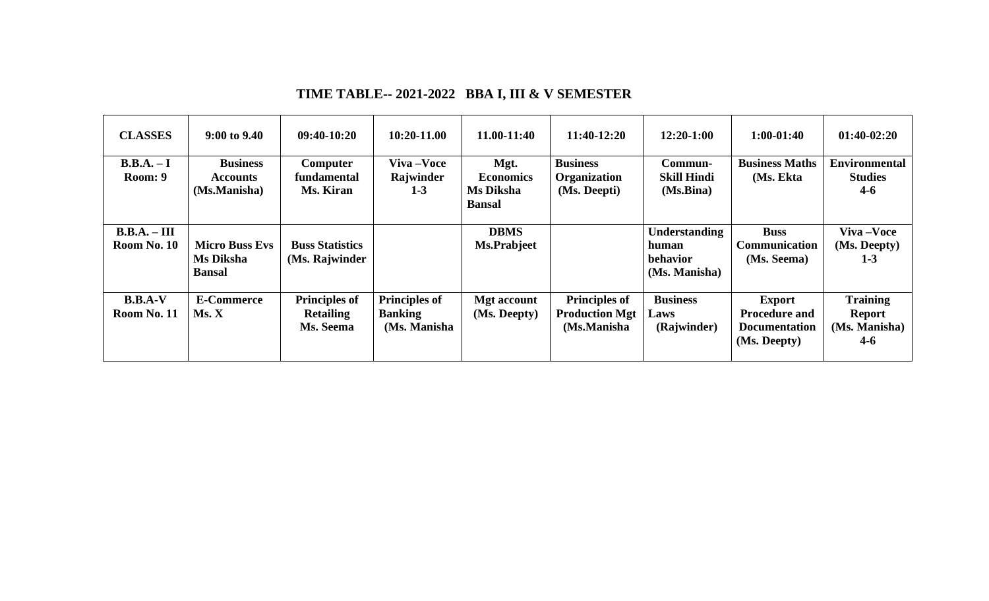| <b>CLASSES</b>              | $9:00$ to $9.40$                                    | $09:40-10:20$                                         | 10:20-11.00                                             | 11.00-11:40                                            | 11:40-12:20                                                  | $12:20-1:00$                                               | $1:00-01:40$                                                                  | $01:40-02:20$                                                |
|-----------------------------|-----------------------------------------------------|-------------------------------------------------------|---------------------------------------------------------|--------------------------------------------------------|--------------------------------------------------------------|------------------------------------------------------------|-------------------------------------------------------------------------------|--------------------------------------------------------------|
| $B.B.A. - I$<br>Room: 9     | <b>Business</b><br><b>Accounts</b><br>(Ms.Manisha)  | <b>Computer</b><br>fundamental<br>Ms. Kiran           | Viva-Voce<br>Rajwinder<br>$1 - 3$                       | Mgt.<br><b>Economics</b><br>Ms Diksha<br><b>Bansal</b> | <b>Business</b><br>Organization<br>(Ms. Deepti)              | Commun-<br><b>Skill Hindi</b><br>(Ms.Bina)                 | <b>Business Maths</b><br>(Ms. Ekta                                            | <b>Environmental</b><br><b>Studies</b><br>$4 - 6$            |
| $B.B.A.-III$<br>Room No. 10 | <b>Micro Buss Evs</b><br>Ms Diksha<br><b>Bansal</b> | <b>Buss Statistics</b><br>(Ms. Rajwinder              |                                                         | <b>DBMS</b><br>Ms.Prabjeet                             |                                                              | <b>Understanding</b><br>human<br>behavior<br>(Ms. Manisha) | <b>Buss</b><br><b>Communication</b><br>(Ms. Seema)                            | Viva-Voce<br>(Ms. Deepty)<br>$1 - 3$                         |
| $B.B.A-V$<br>Room No. 11    | <b>E-Commerce</b><br>Ms. X                          | <b>Principles of</b><br><b>Retailing</b><br>Ms. Seema | <b>Principles of</b><br><b>Banking</b><br>(Ms. Manisha) | <b>Mgt</b> account<br>(Ms. Deepty)                     | <b>Principles of</b><br><b>Production Mgt</b><br>(Ms.Manisha | <b>Business</b><br>Laws<br>(Rajwinder)                     | <b>Export</b><br><b>Procedure and</b><br><b>Documentation</b><br>(Ms. Deepty) | <b>Training</b><br><b>Report</b><br>(Ms. Manisha)<br>$4 - 6$ |

## **TIME TABLE-- 2021-2022 BBA I, III & V SEMESTER**